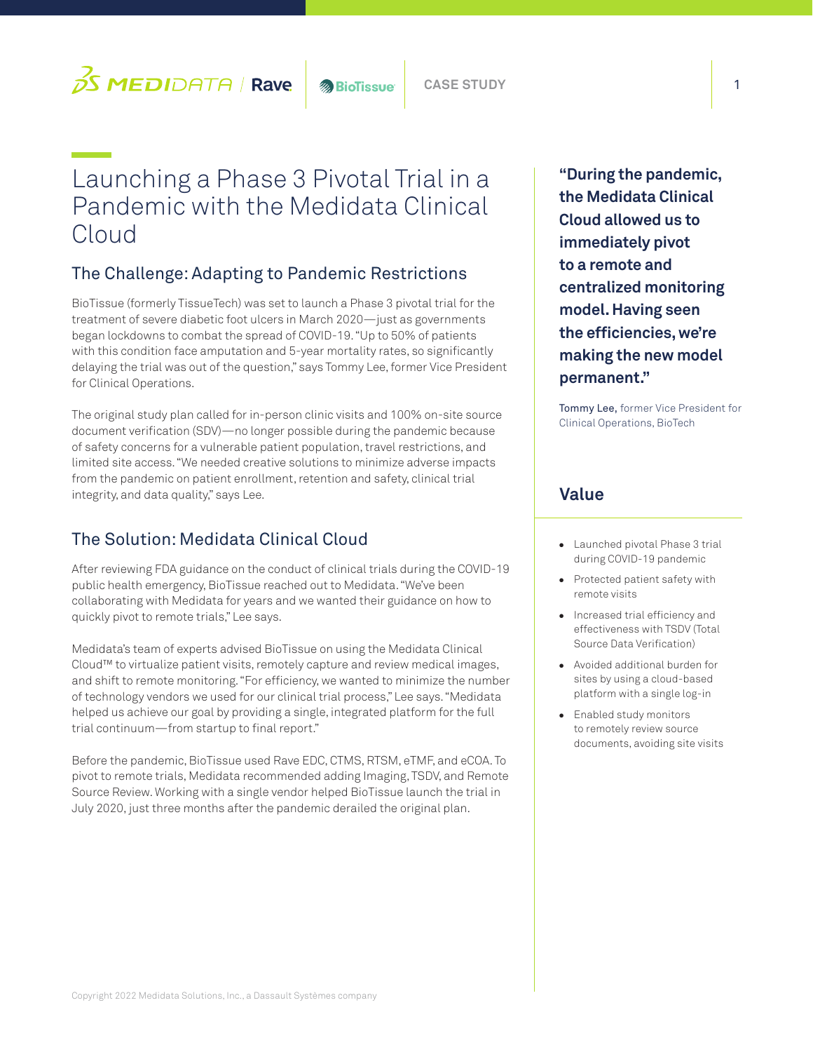

# Launching a Phase 3 Pivotal Trial in a Pandemic with the Medidata Clinical Cloud

# The Challenge: Adapting to Pandemic Restrictions

BioTissue (formerly TissueTech) was set to launch a Phase 3 pivotal trial for the treatment of severe diabetic foot ulcers in March 2020—just as governments began lockdowns to combat the spread of COVID-19. "Up to 50% of patients with this condition face amputation and 5-year mortality rates, so significantly delaying the trial was out of the question," says Tommy Lee, former Vice President for Clinical Operations.

The original study plan called for in-person clinic visits and 100% on-site source document verification (SDV)—no longer possible during the pandemic because of safety concerns for a vulnerable patient population, travel restrictions, and limited site access. "We needed creative solutions to minimize adverse impacts from the pandemic on patient enrollment, retention and safety, clinical trial integrity, and data quality," says Lee.

## The Solution: Medidata Clinical Cloud

After reviewing FDA guidance on the conduct of clinical trials during the COVID-19 public health emergency, BioTissue reached out to Medidata. "We've been collaborating with Medidata for years and we wanted their guidance on how to quickly pivot to remote trials," Lee says.

Medidata's team of experts advised BioTissue on using the Medidata Clinical Cloud™ to virtualize patient visits, remotely capture and review medical images, and shift to remote monitoring. "For efficiency, we wanted to minimize the number of technology vendors we used for our clinical trial process," Lee says. "Medidata helped us achieve our goal by providing a single, integrated platform for the full trial continuum—from startup to final report."

Before the pandemic, BioTissue used Rave EDC, CTMS, RTSM, eTMF, and eCOA. To pivot to remote trials, Medidata recommended adding Imaging, TSDV, and Remote Source Review. Working with a single vendor helped BioTissue launch the trial in July 2020, just three months after the pandemic derailed the original plan.

**"During the pandemic, the Medidata Clinical Cloud allowed us to immediately pivot to a remote and centralized monitoring model. Having seen the efficiencies, we're making the new model permanent."** 

Tommy Lee, former Vice President for Clinical Operations, BioTech

#### **Value**

- Launched pivotal Phase 3 trial during COVID-19 pandemic
- Protected patient safety with remote visits
- Increased trial efficiency and effectiveness with TSDV (Total Source Data Verification)
- Avoided additional burden for sites by using a cloud-based platform with a single log-in
- Enabled study monitors to remotely review source documents, avoiding site visits